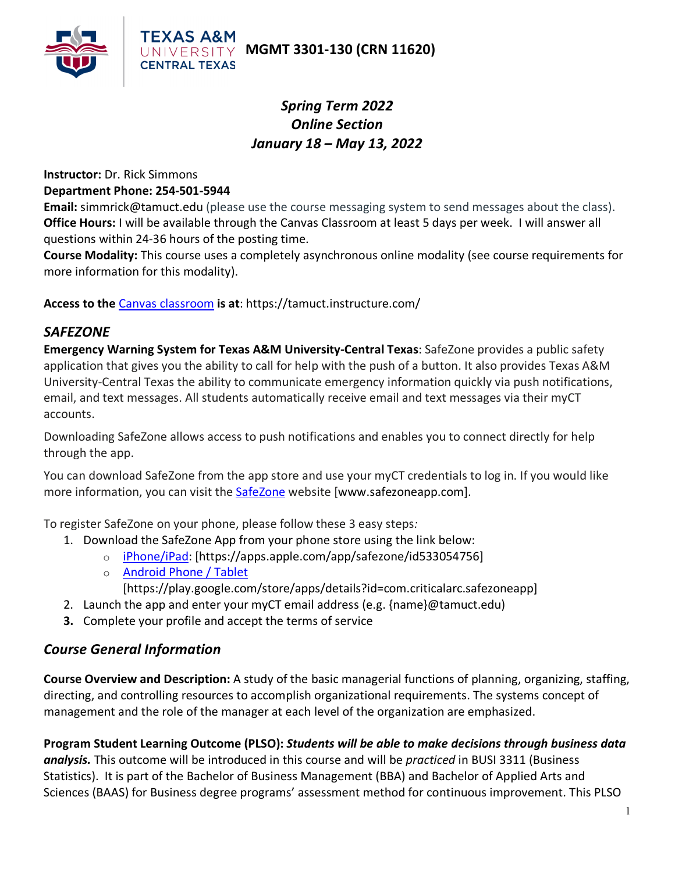



## *Spring Term 2022 Online Section January 18 – May 13, 2022*

#### **Instructor:** Dr. Rick Simmons **Department Phone: 254-501-5944**

**Email:** simmrick@tamuct.edu (please use the course messaging system to send messages about the class). **Office Hours:** I will be available through the Canvas Classroom at least 5 days per week. I will answer all questions within 24-36 hours of the posting time.

**Course Modality:** This course uses a completely asynchronous online modality (see course requirements for more information for this modality).

**Access to the** [Canvas classroom](https://tamuct.instructure.com/) **is at**: https://tamuct.instructure.com/

### *SAFEZONE*

**Emergency Warning System for Texas A&M University-Central Texas**: SafeZone provides a public safety application that gives you the ability to call for help with the push of a button. It also provides Texas A&M University-Central Texas the ability to communicate emergency information quickly via push notifications, email, and text messages. All students automatically receive email and text messages via their myCT accounts.

Downloading SafeZone allows access to push notifications and enables you to connect directly for help through the app.

You can download SafeZone from the app store and use your myCT credentials to log in. If you would like more information, you can visit the [SafeZone](http://www.safezoneapp.com/) website [www.safezoneapp.com].

To register SafeZone on your phone, please follow these 3 easy steps*:*

- 1. Download the SafeZone App from your phone store using the link below:
	- o [iPhone/iPad:](https://apps.apple.com/app/safezone/id533054756) [https://apps.apple.com/app/safezone/id533054756]
	- o [Android Phone / Tablet](https://play.google.com/store/apps/details?id=com.criticalarc.safezoneapp)
		- [https://play.google.com/store/apps/details?id=com.criticalarc.safezoneapp]
- 2. Launch the app and enter your myCT email address (e.g. {name}@tamuct.edu)
- **3.** Complete your profile and accept the terms of service

### *Course General Information*

**Course Overview and Description:** A study of the basic managerial functions of planning, organizing, staffing, directing, and controlling resources to accomplish organizational requirements. The systems concept of management and the role of the manager at each level of the organization are emphasized.

**Program Student Learning Outcome (PLSO):** *Students will be able to make decisions through business data analysis.* This outcome will be introduced in this course and will be *practiced* in BUSI 3311 (Business Statistics). It is part of the Bachelor of Business Management (BBA) and Bachelor of Applied Arts and Sciences (BAAS) for Business degree programs' assessment method for continuous improvement. This PLSO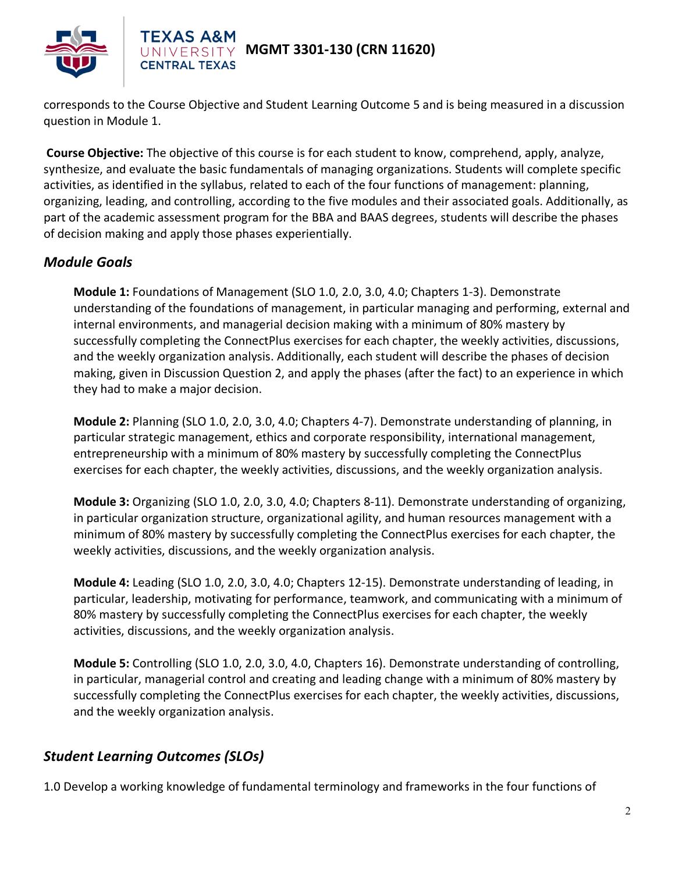

# **MGMT 3301-130 (CRN 11620)**

corresponds to the Course Objective and Student Learning Outcome 5 and is being measured in a discussion question in Module 1.

**Course Objective:** The objective of this course is for each student to know, comprehend, apply, analyze, synthesize, and evaluate the basic fundamentals of managing organizations. Students will complete specific activities, as identified in the syllabus, related to each of the four functions of management: planning, organizing, leading, and controlling, according to the five modules and their associated goals. Additionally, as part of the academic assessment program for the BBA and BAAS degrees, students will describe the phases of decision making and apply those phases experientially.

### *Module Goals*

**Module 1:** Foundations of Management (SLO 1.0, 2.0, 3.0, 4.0; Chapters 1-3). Demonstrate understanding of the foundations of management, in particular managing and performing, external and internal environments, and managerial decision making with a minimum of 80% mastery by successfully completing the ConnectPlus exercises for each chapter, the weekly activities, discussions, and the weekly organization analysis. Additionally, each student will describe the phases of decision making, given in Discussion Question 2, and apply the phases (after the fact) to an experience in which they had to make a major decision.

**Module 2:** Planning (SLO 1.0, 2.0, 3.0, 4.0; Chapters 4-7). Demonstrate understanding of planning, in particular strategic management, ethics and corporate responsibility, international management, entrepreneurship with a minimum of 80% mastery by successfully completing the ConnectPlus exercises for each chapter, the weekly activities, discussions, and the weekly organization analysis.

**Module 3:** Organizing (SLO 1.0, 2.0, 3.0, 4.0; Chapters 8-11). Demonstrate understanding of organizing, in particular organization structure, organizational agility, and human resources management with a minimum of 80% mastery by successfully completing the ConnectPlus exercises for each chapter, the weekly activities, discussions, and the weekly organization analysis.

**Module 4:** Leading (SLO 1.0, 2.0, 3.0, 4.0; Chapters 12-15). Demonstrate understanding of leading, in particular, leadership, motivating for performance, teamwork, and communicating with a minimum of 80% mastery by successfully completing the ConnectPlus exercises for each chapter, the weekly activities, discussions, and the weekly organization analysis.

**Module 5:** Controlling (SLO 1.0, 2.0, 3.0, 4.0, Chapters 16). Demonstrate understanding of controlling, in particular, managerial control and creating and leading change with a minimum of 80% mastery by successfully completing the ConnectPlus exercises for each chapter, the weekly activities, discussions, and the weekly organization analysis.

## *Student Learning Outcomes (SLOs)*

1.0 Develop a working knowledge of fundamental terminology and frameworks in the four functions of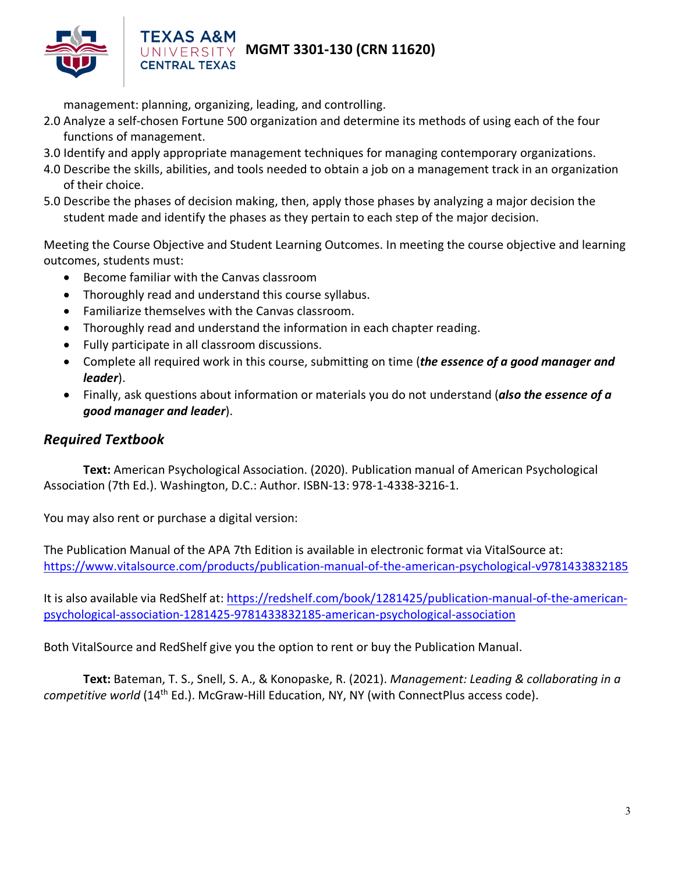

# **MGMT 3301-130 (CRN 11620)**

management: planning, organizing, leading, and controlling.

**CENTRAL TEXAS** 

- 2.0 Analyze a self-chosen Fortune 500 organization and determine its methods of using each of the four functions of management.
- 3.0 Identify and apply appropriate management techniques for managing contemporary organizations.
- 4.0 Describe the skills, abilities, and tools needed to obtain a job on a management track in an organization of their choice.
- 5.0 Describe the phases of decision making, then, apply those phases by analyzing a major decision the student made and identify the phases as they pertain to each step of the major decision.

Meeting the Course Objective and Student Learning Outcomes. In meeting the course objective and learning outcomes, students must:

- Become familiar with the Canvas classroom
- Thoroughly read and understand this course syllabus.
- Familiarize themselves with the Canvas classroom.
- Thoroughly read and understand the information in each chapter reading.
- Fully participate in all classroom discussions.
- Complete all required work in this course, submitting on time (*the essence of a good manager and leader*).
- Finally, ask questions about information or materials you do not understand (*also the essence of a good manager and leader*).

#### *Required Textbook*

**Text:** American Psychological Association. (2020). Publication manual of American Psychological Association (7th Ed.). Washington, D.C.: Author. ISBN-13: 978-1-4338-3216-1.

You may also rent or purchase a digital version:

The Publication Manual of the APA 7th Edition is available in electronic format via VitalSource at: <https://www.vitalsource.com/products/publication-manual-of-the-american-psychological-v9781433832185>

It is also available via RedShelf at[: https://redshelf.com/book/1281425/publication-manual-of-the-american](https://redshelf.com/book/1281425/publication-manual-of-the-american-psychological-association-1281425-9781433832185-american-psychological-association)[psychological-association-1281425-9781433832185-american-psychological-association](https://redshelf.com/book/1281425/publication-manual-of-the-american-psychological-association-1281425-9781433832185-american-psychological-association)

Both VitalSource and RedShelf give you the option to rent or buy the Publication Manual.

**Text:** Bateman, T. S., Snell, S. A., & Konopaske, R. (2021). *Management: Leading & collaborating in a competitive world* (14th Ed.). McGraw-Hill Education, NY, NY (with ConnectPlus access code).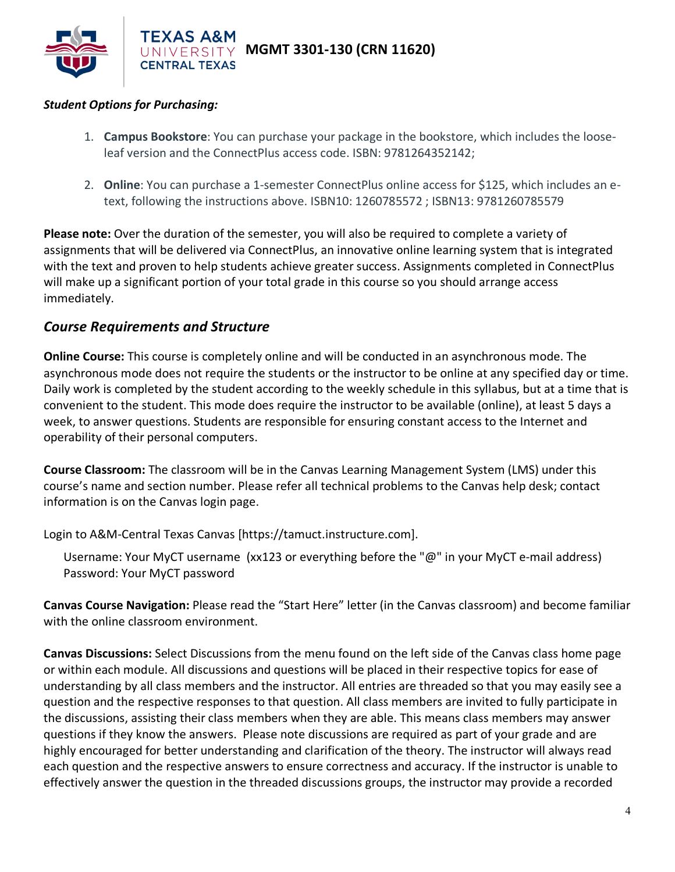

#### *Student Options for Purchasing:*

- 1. **Campus Bookstore**: You can purchase your package in the bookstore, which includes the looseleaf version and the ConnectPlus access code. ISBN: 9781264352142;
- 2. **Online**: You can purchase a 1-semester ConnectPlus online access for \$125, which includes an etext, following the instructions above. ISBN10: 1260785572 ; ISBN13: 9781260785579

**Please note:** Over the duration of the semester, you will also be required to complete a variety of assignments that will be delivered via ConnectPlus, an innovative online learning system that is integrated with the text and proven to help students achieve greater success. Assignments completed in ConnectPlus will make up a significant portion of your total grade in this course so you should arrange access immediately.

#### *Course Requirements and Structure*

**Online Course:** This course is completely online and will be conducted in an asynchronous mode. The asynchronous mode does not require the students or the instructor to be online at any specified day or time. Daily work is completed by the student according to the weekly schedule in this syllabus, but at a time that is convenient to the student. This mode does require the instructor to be available (online), at least 5 days a week, to answer questions. Students are responsible for ensuring constant access to the Internet and operability of their personal computers.

**Course Classroom:** The classroom will be in the Canvas Learning Management System (LMS) under this course's name and section number. Please refer all technical problems to the Canvas help desk; contact information is on the Canvas login page.

Login to A&M-Central Texas Canvas [https://tamuct.instructure.com].

Username: Your MyCT username (xx123 or everything before the "@" in your MyCT e-mail address) Password: Your MyCT password

**Canvas Course Navigation:** Please read the "Start Here" letter (in the Canvas classroom) and become familiar with the online classroom environment.

**Canvas Discussions:** Select Discussions from the menu found on the left side of the Canvas class home page or within each module. All discussions and questions will be placed in their respective topics for ease of understanding by all class members and the instructor. All entries are threaded so that you may easily see a question and the respective responses to that question. All class members are invited to fully participate in the discussions, assisting their class members when they are able. This means class members may answer questions if they know the answers. Please note discussions are required as part of your grade and are highly encouraged for better understanding and clarification of the theory. The instructor will always read each question and the respective answers to ensure correctness and accuracy. If the instructor is unable to effectively answer the question in the threaded discussions groups, the instructor may provide a recorded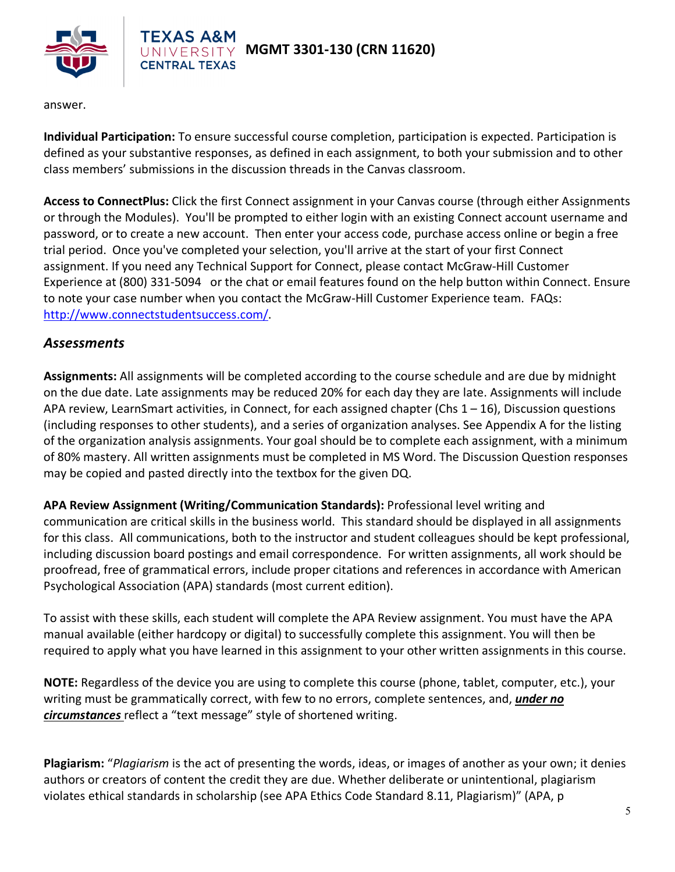

answer.

**Individual Participation:** To ensure successful course completion, participation is expected. Participation is defined as your substantive responses, as defined in each assignment, to both your submission and to other class members' submissions in the discussion threads in the Canvas classroom.

**Access to ConnectPlus:** Click the first Connect assignment in your Canvas course (through either Assignments or through the Modules). You'll be prompted to either login with an existing Connect account username and password, or to create a new account. Then enter your access code, purchase access online or begin a free trial period. Once you've completed your selection, you'll arrive at the start of your first Connect assignment. If you need any Technical Support for Connect, please contact McGraw-Hill Customer Experience at (800) 331-5094 or the chat or email features found on the help button within Connect. Ensure to note your case number when you contact the McGraw-Hill Customer Experience team. FAQs: [http://www.connectstudentsuccess.com/.](http://www.connectstudentsuccess.com/)

#### *Assessments*

**Assignments:** All assignments will be completed according to the course schedule and are due by midnight on the due date. Late assignments may be reduced 20% for each day they are late. Assignments will include APA review, LearnSmart activities, in Connect, for each assigned chapter (Chs  $1 - 16$ ), Discussion questions (including responses to other students), and a series of organization analyses. See Appendix A for the listing of the organization analysis assignments. Your goal should be to complete each assignment, with a minimum of 80% mastery. All written assignments must be completed in MS Word. The Discussion Question responses may be copied and pasted directly into the textbox for the given DQ.

**APA Review Assignment (Writing/Communication Standards):** Professional level writing and communication are critical skills in the business world. This standard should be displayed in all assignments for this class. All communications, both to the instructor and student colleagues should be kept professional, including discussion board postings and email correspondence. For written assignments, all work should be proofread, free of grammatical errors, include proper citations and references in accordance with American Psychological Association (APA) standards (most current edition).

To assist with these skills, each student will complete the APA Review assignment. You must have the APA manual available (either hardcopy or digital) to successfully complete this assignment. You will then be required to apply what you have learned in this assignment to your other written assignments in this course.

**NOTE:** Regardless of the device you are using to complete this course (phone, tablet, computer, etc.), your writing must be grammatically correct, with few to no errors, complete sentences, and, *under no circumstances* reflect a "text message" style of shortened writing.

**Plagiarism:** "*Plagiarism* is the act of presenting the words, ideas, or images of another as your own; it denies authors or creators of content the credit they are due. Whether deliberate or unintentional, plagiarism violates ethical standards in scholarship (see APA Ethics Code Standard 8.11, Plagiarism)" (APA, p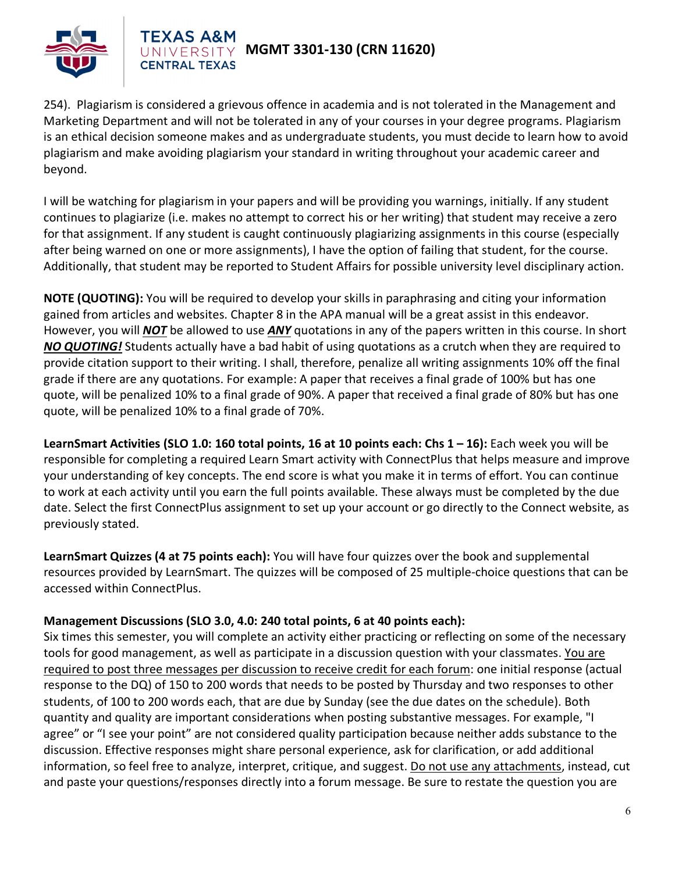

254). Plagiarism is considered a grievous offence in academia and is not tolerated in the Management and Marketing Department and will not be tolerated in any of your courses in your degree programs. Plagiarism is an ethical decision someone makes and as undergraduate students, you must decide to learn how to avoid plagiarism and make avoiding plagiarism your standard in writing throughout your academic career and beyond.

I will be watching for plagiarism in your papers and will be providing you warnings, initially. If any student continues to plagiarize (i.e. makes no attempt to correct his or her writing) that student may receive a zero for that assignment. If any student is caught continuously plagiarizing assignments in this course (especially after being warned on one or more assignments), I have the option of failing that student, for the course. Additionally, that student may be reported to Student Affairs for possible university level disciplinary action.

**NOTE (QUOTING):** You will be required to develop your skills in paraphrasing and citing your information gained from articles and websites. Chapter 8 in the APA manual will be a great assist in this endeavor. However, you will *NOT* be allowed to use *ANY* quotations in any of the papers written in this course. In short *NO QUOTING!* Students actually have a bad habit of using quotations as a crutch when they are required to provide citation support to their writing. I shall, therefore, penalize all writing assignments 10% off the final grade if there are any quotations. For example: A paper that receives a final grade of 100% but has one quote, will be penalized 10% to a final grade of 90%. A paper that received a final grade of 80% but has one quote, will be penalized 10% to a final grade of 70%.

**LearnSmart Activities (SLO 1.0: 160 total points, 16 at 10 points each: Chs 1 – 16):** Each week you will be responsible for completing a required Learn Smart activity with ConnectPlus that helps measure and improve your understanding of key concepts. The end score is what you make it in terms of effort. You can continue to work at each activity until you earn the full points available. These always must be completed by the due date. Select the first ConnectPlus assignment to set up your account or go directly to the Connect website, as previously stated.

**LearnSmart Quizzes (4 at 75 points each):** You will have four quizzes over the book and supplemental resources provided by LearnSmart. The quizzes will be composed of 25 multiple-choice questions that can be accessed within ConnectPlus.

#### **Management Discussions (SLO 3.0, 4.0: 240 total points, 6 at 40 points each):**

Six times this semester, you will complete an activity either practicing or reflecting on some of the necessary tools for good management, as well as participate in a discussion question with your classmates. You are required to post three messages per discussion to receive credit for each forum: one initial response (actual response to the DQ) of 150 to 200 words that needs to be posted by Thursday and two responses to other students, of 100 to 200 words each, that are due by Sunday (see the due dates on the schedule). Both quantity and quality are important considerations when posting substantive messages. For example, "I agree" or "I see your point" are not considered quality participation because neither adds substance to the discussion. Effective responses might share personal experience, ask for clarification, or add additional information, so feel free to analyze, interpret, critique, and suggest. Do not use any attachments, instead, cut and paste your questions/responses directly into a forum message. Be sure to restate the question you are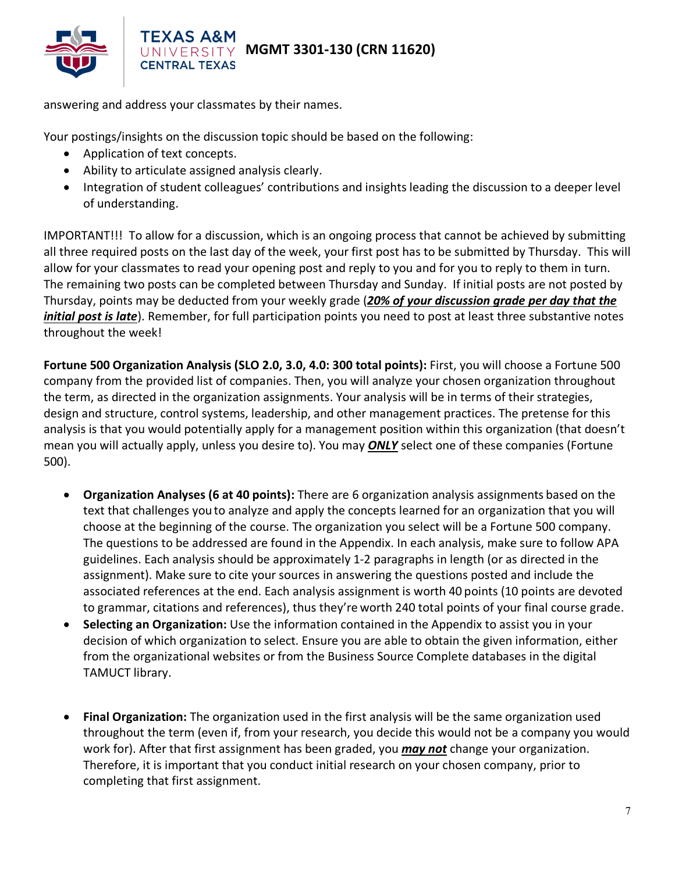

## **MGMT 3301-130 (CRN 11620)**

answering and address your classmates by their names.

**CENTRAL TEXAS** 

Your postings/insights on the discussion topic should be based on the following:

- Application of text concepts.
- Ability to articulate assigned analysis clearly.
- Integration of student colleagues' contributions and insights leading the discussion to a deeper level of understanding.

IMPORTANT!!! To allow for a discussion, which is an ongoing process that cannot be achieved by submitting all three required posts on the last day of the week, your first post has to be submitted by Thursday. This will allow for your classmates to read your opening post and reply to you and for you to reply to them in turn. The remaining two posts can be completed between Thursday and Sunday. If initial posts are not posted by Thursday, points may be deducted from your weekly grade (*20% of your discussion grade per day that the initial post is late*). Remember, for full participation points you need to post at least three substantive notes throughout the week!

**Fortune 500 Organization Analysis (SLO 2.0, 3.0, 4.0: 300 total points):** First, you will choose a Fortune 500 company from the provided list of companies. Then, you will analyze your chosen organization throughout the term, as directed in the organization assignments. Your analysis will be in terms of their strategies, design and structure, control systems, leadership, and other management practices. The pretense for this analysis is that you would potentially apply for a management position within this organization (that doesn't mean you will actually apply, unless you desire to). You may *ONLY* select one of these companies (Fortune 500).

- **Organization Analyses (6 at 40 points):** There are 6 organization analysis assignments based on the text that challenges you to analyze and apply the concepts learned for an organization that you will choose at the beginning of the course. The organization you select will be a Fortune 500 company. The questions to be addressed are found in the Appendix. In each analysis, make sure to follow APA guidelines. Each analysis should be approximately 1-2 paragraphs in length (or as directed in the assignment). Make sure to cite your sources in answering the questions posted and include the associated references at the end. Each analysis assignment is worth 40 points (10 points are devoted to grammar, citations and references), thus they're worth 240 total points of your final course grade.
- **Selecting an Organization:** Use the information contained in the Appendix to assist you in your decision of which organization to select. Ensure you are able to obtain the given information, either from the organizational websites or from the Business Source Complete databases in the digital TAMUCT library.
- **Final Organization:** The organization used in the first analysis will be the same organization used throughout the term (even if, from your research, you decide this would not be a company you would work for). After that first assignment has been graded, you *may not* change your organization. Therefore, it is important that you conduct initial research on your chosen company, prior to completing that first assignment.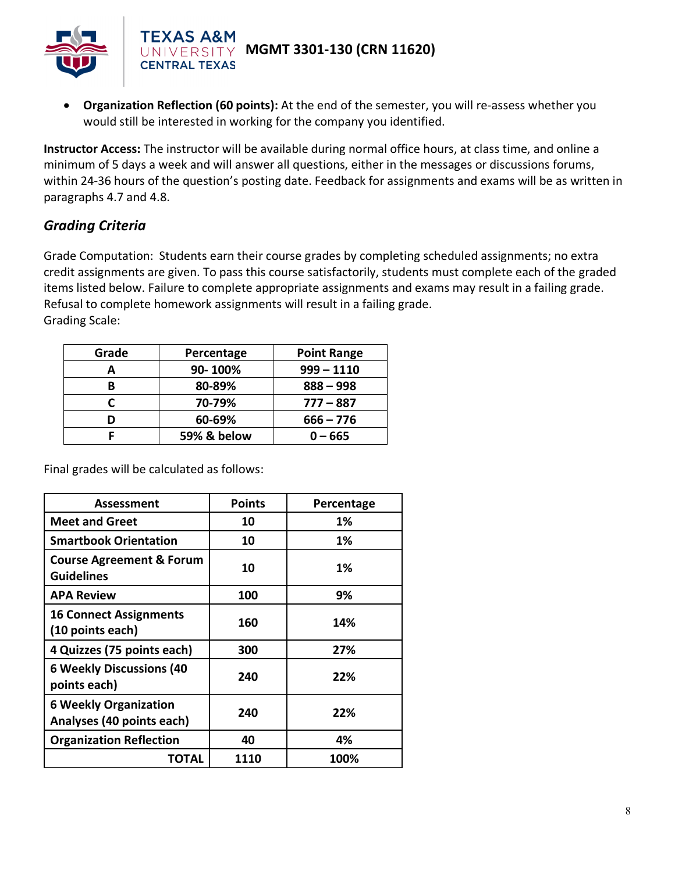

• **Organization Reflection (60 points):** At the end of the semester, you will re-assess whether you would still be interested in working for the company you identified.

**Instructor Access:** The instructor will be available during normal office hours, at class time, and online a minimum of 5 days a week and will answer all questions, either in the messages or discussions forums, within 24-36 hours of the question's posting date. Feedback for assignments and exams will be as written in paragraphs 4.7 and 4.8.

### *Grading Criteria*

Grade Computation: Students earn their course grades by completing scheduled assignments; no extra credit assignments are given. To pass this course satisfactorily, students must complete each of the graded items listed below. Failure to complete appropriate assignments and exams may result in a failing grade. Refusal to complete homework assignments will result in a failing grade. Grading Scale:

| Grade | Percentage  | <b>Point Range</b> |  |
|-------|-------------|--------------------|--|
|       | 90-100%     | $999 - 1110$       |  |
| B     | 80-89%      | $888 - 998$        |  |
|       | 70-79%      | $777 - 887$        |  |
|       | 60-69%      | $666 - 776$        |  |
|       | 59% & below | $0 - 665$          |  |

Final grades will be calculated as follows:

| Assessment                                                | <b>Points</b> | Percentage |
|-----------------------------------------------------------|---------------|------------|
| <b>Meet and Greet</b>                                     | 10            | 1%         |
| <b>Smartbook Orientation</b>                              | 10            | 1%         |
| <b>Course Agreement &amp; Forum</b><br><b>Guidelines</b>  | 10            | 1%         |
| <b>APA Review</b>                                         | 100           | 9%         |
| <b>16 Connect Assignments</b><br>(10 points each)         | 160           | 14%        |
| 4 Quizzes (75 points each)                                | 300           | 27%        |
| <b>6 Weekly Discussions (40</b><br>points each)           | 240           | 22%        |
| <b>6 Weekly Organization</b><br>Analyses (40 points each) | 240           | 22%        |
| <b>Organization Reflection</b>                            | 40            | 4%         |
| TOTAL                                                     | 1110          | 100%       |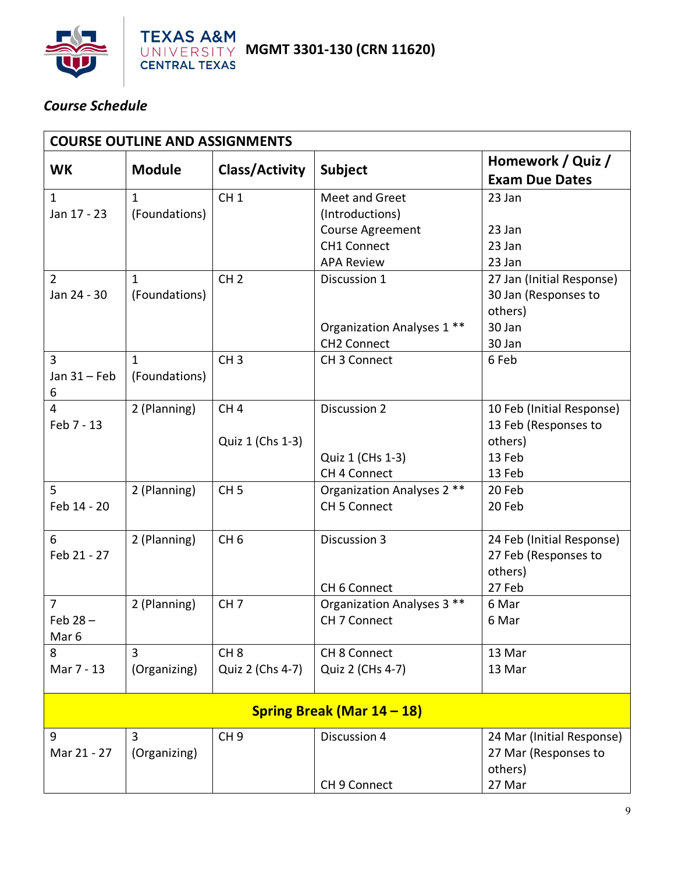

## *Course Schedule*

| <b>COURSE OUTLINE AND ASSIGNMENTS</b> |               |                  |                                                   |                                            |  |  |  |
|---------------------------------------|---------------|------------------|---------------------------------------------------|--------------------------------------------|--|--|--|
| <b>WK</b>                             | <b>Module</b> | Class/Activity   | <b>Subject</b>                                    | Homework / Quiz /<br><b>Exam Due Dates</b> |  |  |  |
| 1                                     | $\mathbf{1}$  | CH <sub>1</sub>  | Meet and Greet                                    | 23 Jan                                     |  |  |  |
| Jan 17 - 23                           | (Foundations) |                  | (Introductions)                                   |                                            |  |  |  |
|                                       |               |                  | Course Agreement                                  | 23 Jan                                     |  |  |  |
|                                       |               |                  | <b>CH1 Connect</b>                                | 23 Jan                                     |  |  |  |
|                                       |               |                  | <b>APA Review</b>                                 | 23 Jan                                     |  |  |  |
| $\overline{2}$                        | 1             | CH <sub>2</sub>  | Discussion 1                                      | 27 Jan (Initial Response)                  |  |  |  |
| Jan 24 - 30                           | (Foundations) |                  |                                                   | 30 Jan (Responses to                       |  |  |  |
|                                       |               |                  |                                                   | others)                                    |  |  |  |
|                                       |               |                  | Organization Analyses 1 **                        | 30 Jan                                     |  |  |  |
|                                       |               |                  | <b>CH2 Connect</b>                                | 30 Jan                                     |  |  |  |
| 3                                     | $\mathbf{1}$  | CH <sub>3</sub>  | CH 3 Connect                                      | 6 Feb                                      |  |  |  |
| Jan $31$ – Feb                        | (Foundations) |                  |                                                   |                                            |  |  |  |
| 6                                     |               |                  |                                                   |                                            |  |  |  |
| 4                                     | 2 (Planning)  | CH <sub>4</sub>  | Discussion 2                                      | 10 Feb (Initial Response)                  |  |  |  |
| Feb 7 - 13                            |               |                  |                                                   | 13 Feb (Responses to                       |  |  |  |
|                                       |               | Quiz 1 (Chs 1-3) |                                                   | others)<br>13 Feb                          |  |  |  |
|                                       |               |                  | Quiz 1 (CHs 1-3)<br>CH 4 Connect                  | 13 Feb                                     |  |  |  |
| 5                                     |               | CH <sub>5</sub>  |                                                   | 20 Feb                                     |  |  |  |
| Feb 14 - 20                           | 2 (Planning)  |                  | Organization Analyses 2 **<br><b>CH 5 Connect</b> | 20 Feb                                     |  |  |  |
|                                       |               |                  |                                                   |                                            |  |  |  |
| 6                                     | 2 (Planning)  | CH <sub>6</sub>  | Discussion 3                                      | 24 Feb (Initial Response)                  |  |  |  |
| Feb 21 - 27                           |               |                  |                                                   | 27 Feb (Responses to                       |  |  |  |
|                                       |               |                  |                                                   | others)                                    |  |  |  |
|                                       |               |                  | CH 6 Connect                                      | 27 Feb                                     |  |  |  |
| $\overline{7}$                        | 2 (Planning)  | CH <sub>7</sub>  | Organization Analyses 3 **                        | 6 Mar                                      |  |  |  |
| Feb $28 -$                            |               |                  | CH 7 Connect                                      | 6 Mar                                      |  |  |  |
| Mar <sub>6</sub>                      |               |                  |                                                   |                                            |  |  |  |
| 8                                     | 3             | CH <sub>8</sub>  | CH 8 Connect                                      | 13 Mar                                     |  |  |  |
| Mar 7 - 13                            | (Organizing)  | Quiz 2 (Chs 4-7) | Quiz 2 (CHs 4-7)                                  | 13 Mar                                     |  |  |  |
|                                       |               |                  |                                                   |                                            |  |  |  |
| Spring Break (Mar 14 - 18)            |               |                  |                                                   |                                            |  |  |  |
| 9                                     | 3             | CH <sub>9</sub>  | Discussion 4                                      | 24 Mar (Initial Response)                  |  |  |  |
| Mar 21 - 27                           | (Organizing)  |                  |                                                   | 27 Mar (Responses to                       |  |  |  |
|                                       |               |                  |                                                   | others)                                    |  |  |  |
|                                       |               |                  | CH 9 Connect                                      | 27 Mar                                     |  |  |  |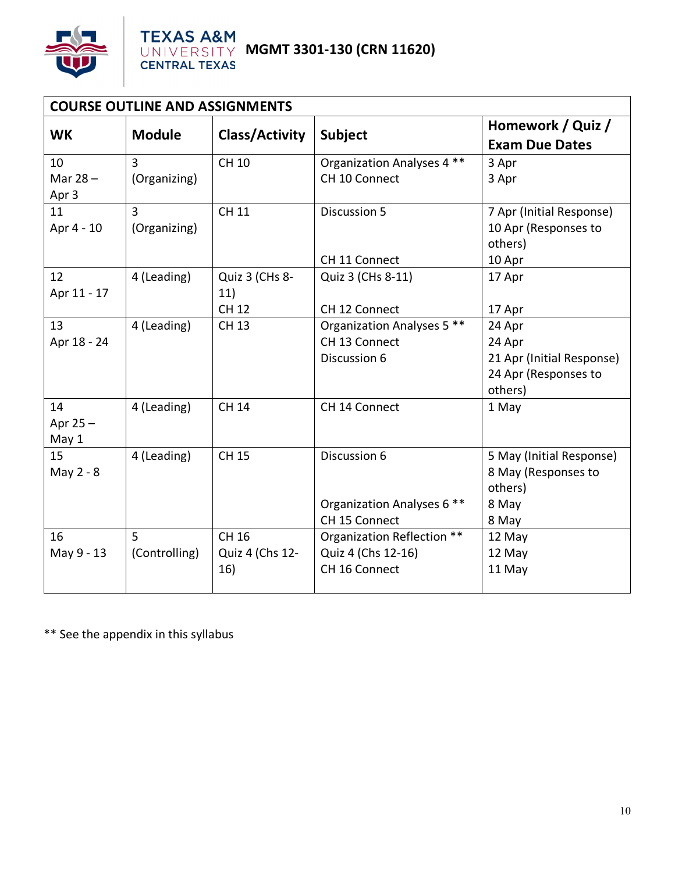

| <b>COURSE OUTLINE AND ASSIGNMENTS</b> |                                |                                       |                                                                   |                                                                                  |  |  |
|---------------------------------------|--------------------------------|---------------------------------------|-------------------------------------------------------------------|----------------------------------------------------------------------------------|--|--|
| <b>WK</b>                             | <b>Module</b>                  | <b>Class/Activity</b>                 | <b>Subject</b>                                                    | Homework / Quiz /<br><b>Exam Due Dates</b>                                       |  |  |
| 10<br>Mar $28 -$<br>Apr 3             | 3<br>(Organizing)              | <b>CH 10</b>                          | Organization Analyses 4 **<br>CH 10 Connect                       | 3 Apr<br>3 Apr                                                                   |  |  |
| 11<br>Apr 4 - 10                      | $\overline{3}$<br>(Organizing) | <b>CH 11</b>                          | Discussion 5<br>CH 11 Connect                                     | 7 Apr (Initial Response)<br>10 Apr (Responses to<br>others)                      |  |  |
| 12<br>Apr 11 - 17                     | 4 (Leading)                    | Quiz 3 (CHs 8-<br>11)<br><b>CH 12</b> | Quiz 3 (CHs 8-11)<br>CH 12 Connect                                | 10 Apr<br>17 Apr<br>17 Apr                                                       |  |  |
| 13<br>Apr 18 - 24                     | 4 (Leading)                    | <b>CH 13</b>                          | Organization Analyses 5 **<br>CH 13 Connect<br>Discussion 6       | 24 Apr<br>24 Apr<br>21 Apr (Initial Response)<br>24 Apr (Responses to<br>others) |  |  |
| 14<br>Apr $25 -$<br>May 1             | 4 (Leading)                    | <b>CH 14</b>                          | CH 14 Connect                                                     | 1 May                                                                            |  |  |
| 15<br>May 2 - 8                       | 4 (Leading)                    | <b>CH 15</b>                          | Discussion 6<br>Organization Analyses 6 **<br>CH 15 Connect       | 5 May (Initial Response)<br>8 May (Responses to<br>others)<br>8 May<br>8 May     |  |  |
| 16<br>May 9 - 13                      | 5<br>(Controlling)             | CH 16<br>Quiz 4 (Chs 12-<br>16)       | Organization Reflection **<br>Quiz 4 (Chs 12-16)<br>CH 16 Connect | 12 May<br>12 May<br>11 May                                                       |  |  |

\*\* See the appendix in this syllabus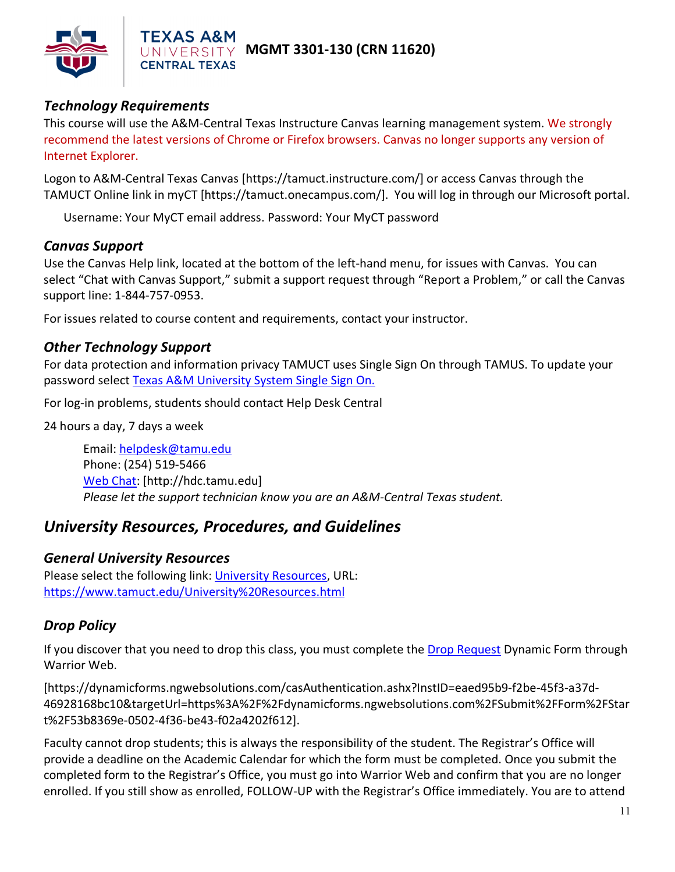

### *Technology Requirements*

**CENTRAL TEXAS** 

This course will use the A&M-Central Texas Instructure Canvas learning management system. We strongly recommend the latest versions of Chrome or Firefox browsers. Canvas no longer supports any version of Internet Explorer.

Logon to A&M-Central Texas Canvas [https://tamuct.instructure.com/] or access Canvas through the TAMUCT Online link in myCT [https://tamuct.onecampus.com/]. You will log in through our Microsoft portal.

Username: Your MyCT email address. Password: Your MyCT password

#### *Canvas Support*

Use the Canvas Help link, located at the bottom of the left-hand menu, for issues with Canvas. You can select "Chat with Canvas Support," submit a support request through "Report a Problem," or call the Canvas support line: 1-844-757-0953.

For issues related to course content and requirements, contact your instructor.

#### *Other Technology Support*

For data protection and information privacy TAMUCT uses Single Sign On through TAMUS. To update your password select [Texas A&M University System Single Sign On.](https://sso.tamus.edu/Logon.aspx?entityID=https%3A%2F%2Fsso.tamus.edu%2Fshibboleth&return=https%3A%2F%2Fsso.tamus.edu%2FShibboleth.sso%2FDS%3FSAMLDS%3D1%26target%3Dcookie%253A1597543334_da19)

For log-in problems, students should contact Help Desk Central

24 hours a day, 7 days a week

Email: [helpdesk@tamu.edu](mailto:helpdesk@tamu.edu) Phone: (254) 519-5466 [Web Chat:](http://hdc.tamu.edu/) [http://hdc.tamu.edu] *Please let the support technician know you are an A&M-Central Texas student.*

## *University Resources, Procedures, and Guidelines*

### *General University Resources*

Please select the following link: [University Resources,](https://www.tamuct.edu/University%20Resources.html) URL: <https://www.tamuct.edu/University%20Resources.html>

### *Drop Policy*

If you discover that you need to drop this class, you must complete the [Drop Request](https://dynamicforms.ngwebsolutions.com/casAuthentication.ashx?InstID=eaed95b9-f2be-45f3-a37d-46928168bc10&targetUrl=https%3A%2F%2Fdynamicforms.ngwebsolutions.com%2FSubmit%2FForm%2FStart%2F53b8369e-0502-4f36-be43-f02a4202f612) Dynamic Form through Warrior Web.

[https://dynamicforms.ngwebsolutions.com/casAuthentication.ashx?InstID=eaed95b9-f2be-45f3-a37d-46928168bc10&targetUrl=https%3A%2F%2Fdynamicforms.ngwebsolutions.com%2FSubmit%2FForm%2FStar t%2F53b8369e-0502-4f36-be43-f02a4202f612].

Faculty cannot drop students; this is always the responsibility of the student. The Registrar's Office will provide a deadline on the Academic Calendar for which the form must be completed. Once you submit the completed form to the Registrar's Office, you must go into Warrior Web and confirm that you are no longer enrolled. If you still show as enrolled, FOLLOW-UP with the Registrar's Office immediately. You are to attend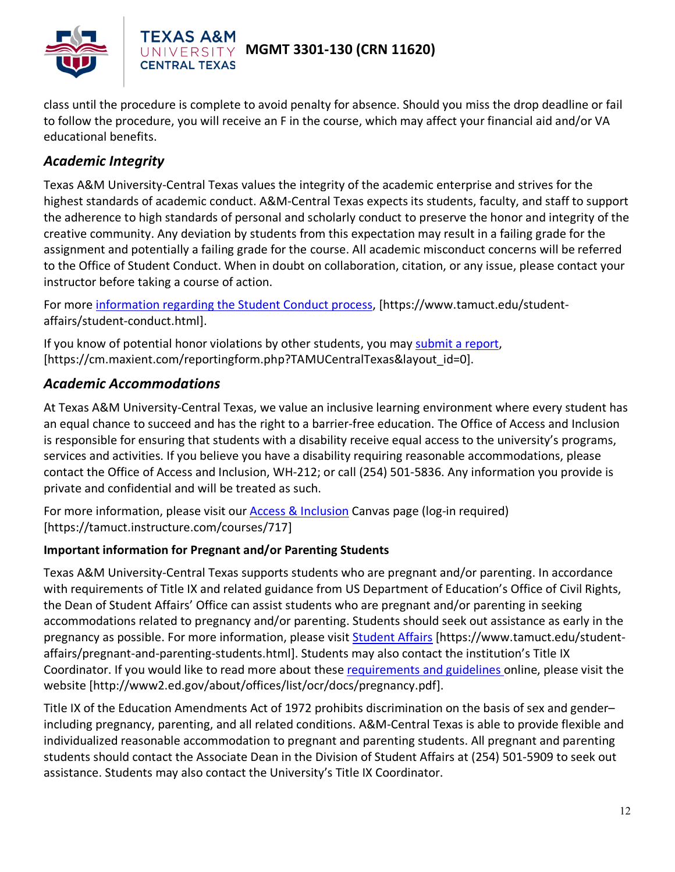

class until the procedure is complete to avoid penalty for absence. Should you miss the drop deadline or fail to follow the procedure, you will receive an F in the course, which may affect your financial aid and/or VA educational benefits.

## *Academic Integrity*

**CENTRAL TEXAS** 

Texas A&M University-Central Texas values the integrity of the academic enterprise and strives for the highest standards of academic conduct. A&M-Central Texas expects its students, faculty, and staff to support the adherence to high standards of personal and scholarly conduct to preserve the honor and integrity of the creative community. Any deviation by students from this expectation may result in a failing grade for the assignment and potentially a failing grade for the course. All academic misconduct concerns will be referred to the Office of Student Conduct. When in doubt on collaboration, citation, or any issue, please contact your instructor before taking a course of action.

For more [information](https://nam04.safelinks.protection.outlook.com/?url=https%3A%2F%2Fwww.tamuct.edu%2Fstudent-affairs%2Fstudent-conduct.html&data=04%7C01%7Clisa.bunkowski%40tamuct.edu%7Ccfb6e486f24745f53e1a08d910055cb2%7C9eed4e3000f744849ff193ad8005acec%7C0%7C0%7C637558437485252160%7CUnknown%7CTWFpbGZsb3d8eyJWIjoiMC4wLjAwMDAiLCJQIjoiV2luMzIiLCJBTiI6Ik1haWwiLCJXVCI6Mn0%3D%7C1000&sdata=yjftDEVHvLX%2FhM%2FcFU0B99krV1RgEWR%2BJ%2BhvtoR6TYk%3D&reserved=0) regarding the Student Conduct process, [https://www.tamuct.edu/studentaffairs/student-conduct.html].

If you know of potential honor violations by other students, you may [submit](https://nam04.safelinks.protection.outlook.com/?url=https%3A%2F%2Fcm.maxient.com%2Freportingform.php%3FTAMUCentralTexas%26layout_id%3D0&data=04%7C01%7Clisa.bunkowski%40tamuct.edu%7Ccfb6e486f24745f53e1a08d910055cb2%7C9eed4e3000f744849ff193ad8005acec%7C0%7C0%7C637558437485262157%7CUnknown%7CTWFpbGZsb3d8eyJWIjoiMC4wLjAwMDAiLCJQIjoiV2luMzIiLCJBTiI6Ik1haWwiLCJXVCI6Mn0%3D%7C1000&sdata=CXGkOa6uPDPX1IMZ87z3aZDq2n91xfHKu4MMS43Ejjk%3D&reserved=0) a report, [https://cm.maxient.com/reportingform.php?TAMUCentralTexas&layout\_id=0].

### *Academic Accommodations*

At Texas A&M University-Central Texas, we value an inclusive learning environment where every student has an equal chance to succeed and has the right to a barrier-free education. The Office of Access and Inclusion is responsible for ensuring that students with a disability receive equal access to the university's programs, services and activities. If you believe you have a disability requiring reasonable accommodations, please contact the Office of Access and Inclusion, WH-212; or call (254) 501-5836. Any information you provide is private and confidential and will be treated as such.

For more information, please visit our [Access & Inclusion](https://tamuct.instructure.com/courses/717) Canvas page (log-in required) [https://tamuct.instructure.com/courses/717]

#### **Important information for Pregnant and/or Parenting Students**

Texas A&M University-Central Texas supports students who are pregnant and/or parenting. In accordance with requirements of Title IX and related guidance from US Department of Education's Office of Civil Rights, the Dean of Student Affairs' Office can assist students who are pregnant and/or parenting in seeking accommodations related to pregnancy and/or parenting. Students should seek out assistance as early in the pregnancy as possible. For more information, please visi[t Student Affairs](https://www.tamuct.edu/student-affairs/pregnant-and-parenting-students.html) [https://www.tamuct.edu/studentaffairs/pregnant-and-parenting-students.html]. Students may also contact the institution's Title IX Coordinator. If you would like to read more about these [requirements and guidelines](http://www2.ed.gov/about/offices/list/ocr/docs/pregnancy.pdf) online, please visit the website [http://www2.ed.gov/about/offices/list/ocr/docs/pregnancy.pdf].

Title IX of the Education Amendments Act of 1972 prohibits discrimination on the basis of sex and gender– including pregnancy, parenting, and all related conditions. A&M-Central Texas is able to provide flexible and individualized reasonable accommodation to pregnant and parenting students. All pregnant and parenting students should contact the Associate Dean in the Division of Student Affairs at (254) 501-5909 to seek out assistance. Students may also contact the University's Title IX Coordinator.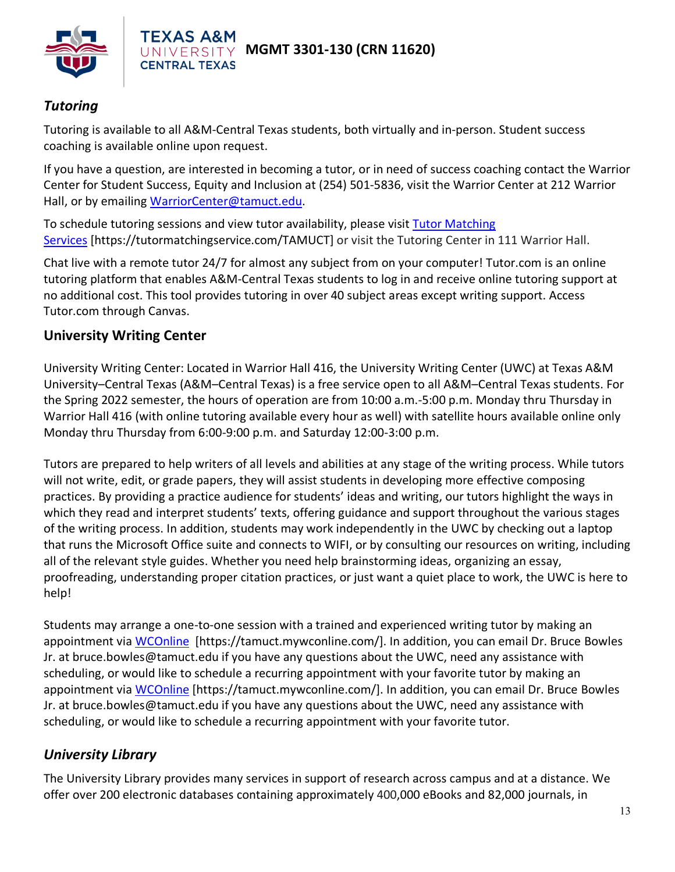

## *Tutoring*

Tutoring is available to all A&M-Central Texas students, both virtually and in-person. Student success coaching is available online upon request.

If you have a question, are interested in becoming a tutor, or in need of success coaching contact the Warrior Center for Student Success, Equity and Inclusion at (254) 501-5836, visit the Warrior Center at 212 Warrior Hall, or by emailing [WarriorCenter@tamuct.edu.](mailto:WarriorCenter@tamuct.edu)

To schedule tutoring sessions and view tutor availability, please visit Tutor [Matching](https://tutormatchingservice.com/TAMUCT) [Services](https://tutormatchingservice.com/TAMUCT) [https://tutormatchingservice.com/TAMUCT] or visit the Tutoring Center in 111 Warrior Hall.

Chat live with a remote tutor 24/7 for almost any subject from on your computer! Tutor.com is an online tutoring platform that enables A&M-Central Texas students to log in and receive online tutoring support at no additional cost. This tool provides tutoring in over 40 subject areas except writing support. Access Tutor.com through Canvas.

### **University Writing Center**

University Writing Center: Located in Warrior Hall 416, the University Writing Center (UWC) at Texas A&M University–Central Texas (A&M–Central Texas) is a free service open to all A&M–Central Texas students. For the Spring 2022 semester, the hours of operation are from 10:00 a.m.-5:00 p.m. Monday thru Thursday in Warrior Hall 416 (with online tutoring available every hour as well) with satellite hours available online only Monday thru Thursday from 6:00-9:00 p.m. and Saturday 12:00-3:00 p.m.

Tutors are prepared to help writers of all levels and abilities at any stage of the writing process. While tutors will not write, edit, or grade papers, they will assist students in developing more effective composing practices. By providing a practice audience for students' ideas and writing, our tutors highlight the ways in which they read and interpret students' texts, offering guidance and support throughout the various stages of the writing process. In addition, students may work independently in the UWC by checking out a laptop that runs the Microsoft Office suite and connects to WIFI, or by consulting our resources on writing, including all of the relevant style guides. Whether you need help brainstorming ideas, organizing an essay, proofreading, understanding proper citation practices, or just want a quiet place to work, the UWC is here to help!

Students may arrange a one-to-one session with a trained and experienced writing tutor by making an appointment via [WCOnline](https://tamuct.mywconline.com/) [https://tamuct.mywconline.com/]. In addition, you can email Dr. Bruce Bowles Jr. at bruce.bowles@tamuct.edu if you have any questions about the UWC, need any assistance with scheduling, or would like to schedule a recurring appointment with your favorite tutor by making an appointment via [WCOnline](https://tamuct.mywconline.com/) [https://tamuct.mywconline.com/]. In addition, you can email Dr. Bruce Bowles Jr. at bruce.bowles@tamuct.edu if you have any questions about the UWC, need any assistance with scheduling, or would like to schedule a recurring appointment with your favorite tutor.

### *University Library*

The University Library provides many services in support of research across campus and at a distance. We offer over 200 electronic databases containing approximately 400,000 eBooks and 82,000 journals, in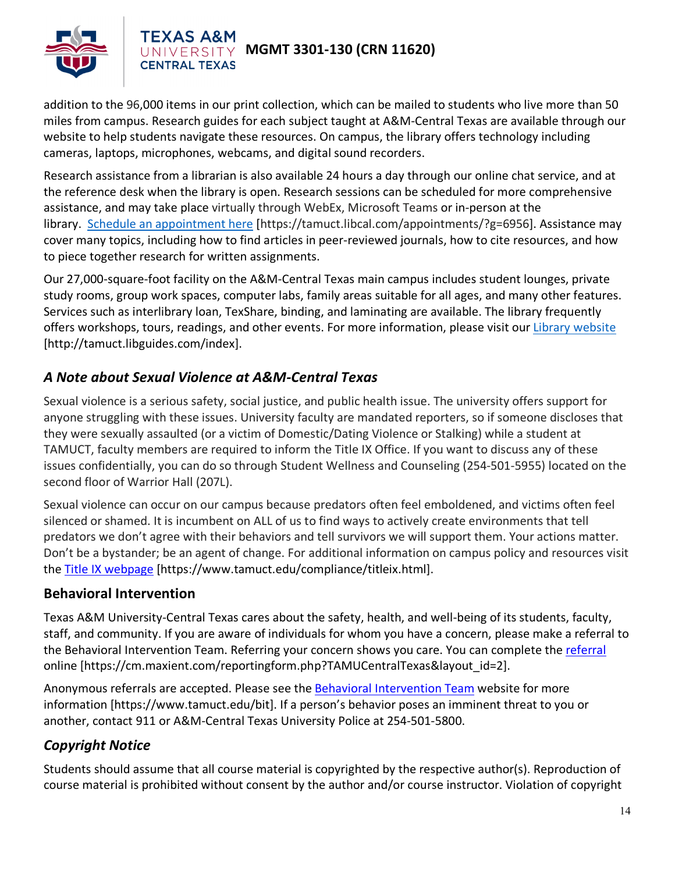

#### **AS A&M MGMT 3301-130 (CRN 11620)**

addition to the 96,000 items in our print collection, which can be mailed to students who live more than 50 miles from campus. Research guides for each subject taught at A&M-Central Texas are available through our website to help students navigate these resources. On campus, the library offers technology including cameras, laptops, microphones, webcams, and digital sound recorders.

Research assistance from a librarian is also available 24 hours a day through our online chat service, and at the reference desk when the library is open. Research sessions can be scheduled for more comprehensive assistance, and may take place virtually through WebEx, Microsoft Teams or in-person at the library. Schedule an [appointment](https://nam04.safelinks.protection.outlook.com/?url=https%3A%2F%2Ftamuct.libcal.com%2Fappointments%2F%3Fg%3D6956&data=04%7C01%7Clisa.bunkowski%40tamuct.edu%7Cde2c07d9f5804f09518008d9ab7ba6ff%7C9eed4e3000f744849ff193ad8005acec%7C0%7C0%7C637729369835011558%7CUnknown%7CTWFpbGZsb3d8eyJWIjoiMC4wLjAwMDAiLCJQIjoiV2luMzIiLCJBTiI6Ik1haWwiLCJXVCI6Mn0%3D%7C3000&sdata=KhtjgRSAw9aq%2FoBsB6wyu8b7PSuGN5EGPypzr3Ty2No%3D&reserved=0) here [https://tamuct.libcal.com/appointments/?g=6956]. Assistance may cover many topics, including how to find articles in peer-reviewed journals, how to cite resources, and how to piece together research for written assignments.

Our 27,000-square-foot facility on the A&M-Central Texas main campus includes student lounges, private study rooms, group work spaces, computer labs, family areas suitable for all ages, and many other features. Services such as interlibrary loan, TexShare, binding, and laminating are available. The library frequently offers workshops, tours, readings, and other events. For more information, please visit our Library [website](https://nam04.safelinks.protection.outlook.com/?url=https%3A%2F%2Ftamuct.libguides.com%2Findex&data=04%7C01%7Clisa.bunkowski%40tamuct.edu%7C7d8489e8839a4915335f08d916f067f2%7C9eed4e3000f744849ff193ad8005acec%7C0%7C0%7C637566044056484222%7CUnknown%7CTWFpbGZsb3d8eyJWIjoiMC4wLjAwMDAiLCJQIjoiV2luMzIiLCJBTiI6Ik1haWwiLCJXVCI6Mn0%3D%7C1000&sdata=2R755V6rcIyedGrd4Os5rkgn1PvhHKU3kUV1vBKiHFo%3D&reserved=0) [http://tamuct.libguides.com/index].

## *A Note about Sexual Violence at A&M-Central Texas*

**CENTRAL TEXAS** 

Sexual violence is a serious safety, social justice, and public health issue. The university offers support for anyone struggling with these issues. University faculty are mandated reporters, so if someone discloses that they were sexually assaulted (or a victim of Domestic/Dating Violence or Stalking) while a student at TAMUCT, faculty members are required to inform the Title IX Office. If you want to discuss any of these issues confidentially, you can do so through Student Wellness and Counseling (254-501-5955) located on the second floor of Warrior Hall (207L).

Sexual violence can occur on our campus because predators often feel emboldened, and victims often feel silenced or shamed. It is incumbent on ALL of us to find ways to actively create environments that tell predators we don't agree with their behaviors and tell survivors we will support them. Your actions matter. Don't be a bystander; be an agent of change. For additional information on campus policy and resources visit the [Title IX webpage](https://www.tamuct.edu/compliance/titleix.html) [\[https://www.tamuct.edu/compliance/titleix.html\]](https://www.tamuct.edu/compliance/titleix.html).

### **Behavioral Intervention**

Texas A&M University-Central Texas cares about the safety, health, and well-being of its students, faculty, staff, and community. If you are aware of individuals for whom you have a concern, please make a referral to the Behavioral Intervention Team. Referring your concern shows you care. You can complete the [referral](https://cm.maxient.com/reportingform.php?TAMUCentralTexas&layout_id=2) online [https://cm.maxient.com/reportingform.php?TAMUCentralTexas&layout\_id=2].

Anonymous referrals are accepted. Please see the [Behavioral Intervention Team](https://www.tamuct.edu/bit) website for more information [https://www.tamuct.edu/bit]. If a person's behavior poses an imminent threat to you or another, contact 911 or A&M-Central Texas University Police at 254-501-5800.

## *Copyright Notice*

Students should assume that all course material is copyrighted by the respective author(s). Reproduction of course material is prohibited without consent by the author and/or course instructor. Violation of copyright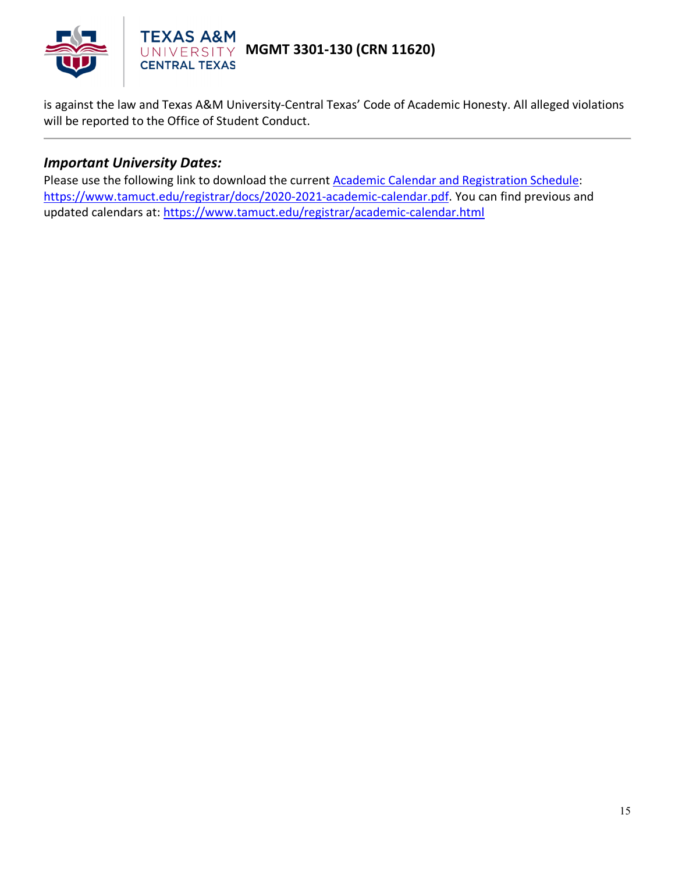

is against the law and Texas A&M University-Central Texas' Code of Academic Honesty. All alleged violations will be reported to the Office of Student Conduct.

#### *Important University Dates:*

Please use the following link to download the current [Academic Calendar and Registration Schedule:](https://www.tamuct.edu/registrar/docs/2020-2021-academic-calendar.pdf) [https://www.tamuct.edu/registrar/docs/2020-2021-academic-calendar.pdf.](https://www.tamuct.edu/registrar/docs/2020-2021-academic-calendar.pdf) You can find previous and updated calendars at:<https://www.tamuct.edu/registrar/academic-calendar.html>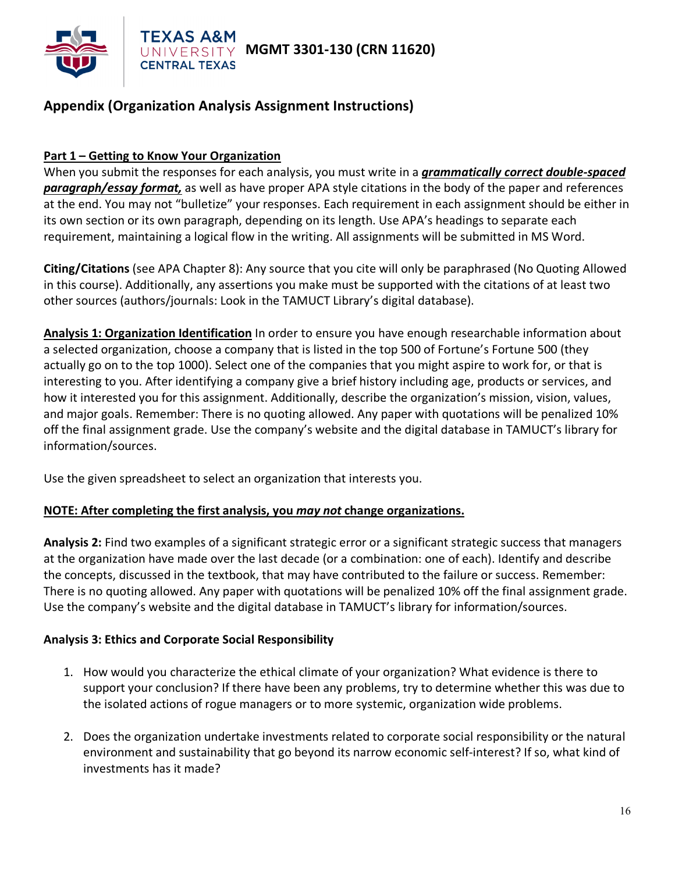

## **Appendix (Organization Analysis Assignment Instructions)**

#### **Part 1 – Getting to Know Your Organization**

**CENTRAL TEXAS** 

When you submit the responses for each analysis, you must write in a *grammatically correct double-spaced paragraph/essay format,* as well as have proper APA style citations in the body of the paper and references at the end. You may not "bulletize" your responses. Each requirement in each assignment should be either in its own section or its own paragraph, depending on its length. Use APA's headings to separate each requirement, maintaining a logical flow in the writing. All assignments will be submitted in MS Word.

**Citing/Citations** (see APA Chapter 8): Any source that you cite will only be paraphrased (No Quoting Allowed in this course). Additionally, any assertions you make must be supported with the citations of at least two other sources (authors/journals: Look in the TAMUCT Library's digital database).

**Analysis 1: Organization Identification** In order to ensure you have enough researchable information about a selected organization, choose a company that is listed in the top 500 of Fortune's Fortune 500 (they actually go on to the top 1000). Select one of the companies that you might aspire to work for, or that is interesting to you. After identifying a company give a brief history including age, products or services, and how it interested you for this assignment. Additionally, describe the organization's mission, vision, values, and major goals. Remember: There is no quoting allowed. Any paper with quotations will be penalized 10% off the final assignment grade. Use the company's website and the digital database in TAMUCT's library for information/sources.

Use the given spreadsheet to select an organization that interests you.

#### **NOTE: After completing the first analysis, you** *may not* **change organizations.**

**Analysis 2:** Find two examples of a significant strategic error or a significant strategic success that managers at the organization have made over the last decade (or a combination: one of each). Identify and describe the concepts, discussed in the textbook, that may have contributed to the failure or success. Remember: There is no quoting allowed. Any paper with quotations will be penalized 10% off the final assignment grade. Use the company's website and the digital database in TAMUCT's library for information/sources.

#### **Analysis 3: Ethics and Corporate Social Responsibility**

- 1. How would you characterize the ethical climate of your organization? What evidence is there to support your conclusion? If there have been any problems, try to determine whether this was due to the isolated actions of rogue managers or to more systemic, organization wide problems.
- 2. Does the organization undertake investments related to corporate social responsibility or the natural environment and sustainability that go beyond its narrow economic self-interest? If so, what kind of investments has it made?